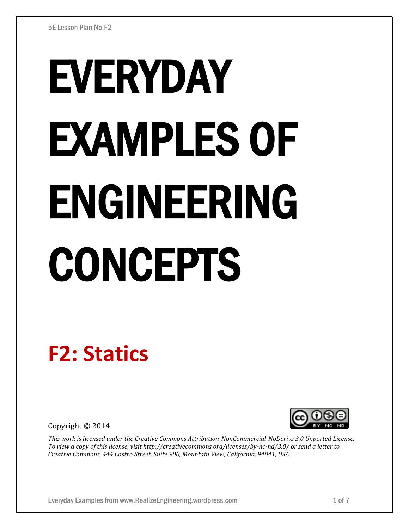# EVERYDAY EXAMPLES OF ENGINEERING CONCEPTS

# **F2: Statics**

Copyright © 2014



*This work is licensed under the Creative Commons Attribution-NonCommercial-NoDerivs 3.0 Unported License. To view a copy of this license, visit http://creativecommons.org/licenses/by-nc-nd/3.0/ or send a letter to Creative Commons, 444 Castro Street, Suite 900, Mountain View, California, 94041, USA.*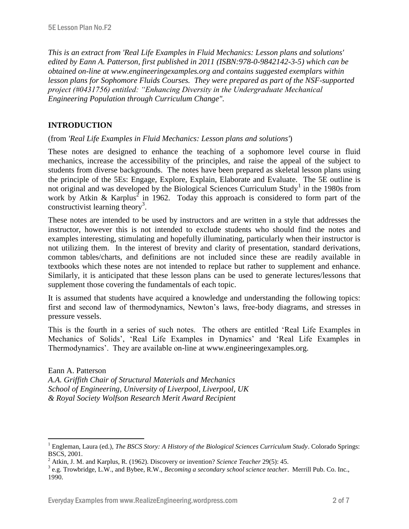*This is an extract from 'Real Life Examples in Fluid Mechanics: Lesson plans and solutions' edited by Eann A. Patterson, first published in 2011 (ISBN:978-0-9842142-3-5) which can be obtained on-line at www.engineeringexamples.org and contains suggested exemplars within lesson plans for Sophomore Fluids Courses. They were prepared as part of the NSF-supported project (#0431756) entitled: "Enhancing Diversity in the Undergraduate Mechanical Engineering Population through Curriculum Change".* 

# **INTRODUCTION**

 $\overline{a}$ 

(from *'Real Life Examples in Fluid Mechanics: Lesson plans and solutions'*)

These notes are designed to enhance the teaching of a sophomore level course in fluid mechanics, increase the accessibility of the principles, and raise the appeal of the subject to students from diverse backgrounds. The notes have been prepared as skeletal lesson plans using the principle of the 5Es: Engage, Explore, Explain, Elaborate and Evaluate. The 5E outline is not original and was developed by the Biological Sciences Curriculum Study<sup>1</sup> in the 1980s from work by Atkin & Karplus<sup>2</sup> in 1962. Today this approach is considered to form part of the constructivist learning theory<sup>3</sup>.

These notes are intended to be used by instructors and are written in a style that addresses the instructor, however this is not intended to exclude students who should find the notes and examples interesting, stimulating and hopefully illuminating, particularly when their instructor is not utilizing them. In the interest of brevity and clarity of presentation, standard derivations, common tables/charts, and definitions are not included since these are readily available in textbooks which these notes are not intended to replace but rather to supplement and enhance. Similarly, it is anticipated that these lesson plans can be used to generate lectures/lessons that supplement those covering the fundamentals of each topic.

It is assumed that students have acquired a knowledge and understanding the following topics: first and second law of thermodynamics, Newton's laws, free-body diagrams, and stresses in pressure vessels.

This is the fourth in a series of such notes. The others are entitled 'Real Life Examples in Mechanics of Solids', 'Real Life Examples in Dynamics' and 'Real Life Examples in Thermodynamics'. They are available on-line at www.engineeringexamples.org.

Eann A. Patterson *A.A. Griffith Chair of Structural Materials and Mechanics School of Engineering, University of Liverpool, Liverpool, UK & Royal Society Wolfson Research Merit Award Recipient*

<sup>&</sup>lt;sup>1</sup> Engleman, Laura (ed.), *The BSCS Story: A History of the Biological Sciences Curriculum Study*. Colorado Springs: BSCS, 2001.

<sup>2</sup> Atkin, J. M. and Karplus, R. (1962). Discovery or invention? *Science Teacher* 29(5): 45.

<sup>3</sup> e.g. Trowbridge, L.W., and Bybee, R.W., *Becoming a secondary school science teacher*. Merrill Pub. Co. Inc., 1990.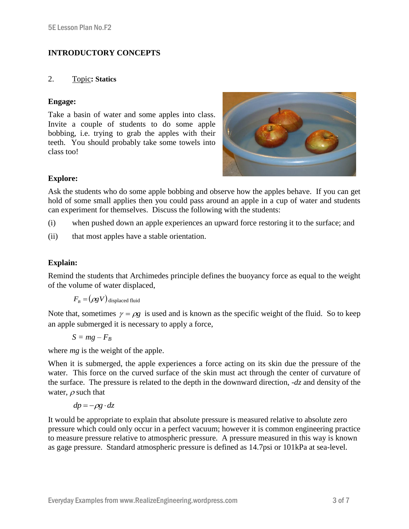# **INTRODUCTORY CONCEPTS**

## 2. Topic**: Statics**

# **Engage:**

Take a basin of water and some apples into class. Invite a couple of students to do some apple bobbing, i.e. trying to grab the apples with their teeth. You should probably take some towels into class too!



# **Explore:**

Ask the students who do some apple bobbing and observe how the apples behave. If you can get hold of some small applies then you could pass around an apple in a cup of water and students can experiment for themselves. Discuss the following with the students:

- (i) when pushed down an apple experiences an upward force restoring it to the surface; and
- (ii) that most apples have a stable orientation.

# **Explain:**

Remind the students that Archimedes principle defines the buoyancy force as equal to the weight of the volume of water displaced,

 $F_{B} = (\rho g V)$  displaced fluid

Note that, sometimes  $\gamma = \rho g$  is used and is known as the specific weight of the fluid. So to keep an apple submerged it is necessary to apply a force,

$$
S = mg - F_B
$$

where *mg* is the weight of the apple.

When it is submerged, the apple experiences a force acting on its skin due the pressure of the water. This force on the curved surface of the skin must act through the center of curvature of the surface. The pressure is related to the depth in the downward direction, -*dz* and density of the water,  $\rho$  such that

$$
dp = -\rho g \cdot dz
$$

It would be appropriate to explain that absolute pressure is measured relative to absolute zero pressure which could only occur in a perfect vacuum; however it is common engineering practice to measure pressure relative to atmospheric pressure. A pressure measured in this way is known as gage pressure. Standard atmospheric pressure is defined as 14.7psi or 101kPa at sea-level.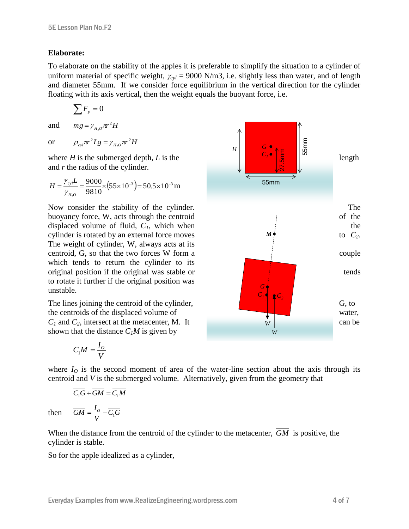#### **Elaborate:**

To elaborate on the stability of the apples it is preferable to simplify the situation to a cylinder of uniform material of specific weight,  $\gamma_{cyl}$  = 9000 N/m3, i.e. slightly less than water, and of length and diameter 55mm. If we consider force equilibrium in the vertical direction for the cylinder floating with its axis vertical, then the weight equals the buoyant force, i.e.

$$
\sum F_{y}=0
$$

and  $mg = \gamma_{H_2O} \pi r^2 H$  $=\gamma_{H_2O}\pi$ 

or  $\rho_{cyl} \pi r^2 Lg = \gamma_{H,o} \pi r^2 H$ 

and *r* the radius of the cylinder.

$$
H = \frac{\gamma_{cyl}L}{\gamma_{H,0}} = \frac{9000}{9810} \times (55 \times 10^{-3}) = 50.5 \times 10^{-3} \,\mathrm{m}
$$

The weight of cylinder, W, always acts at its which tends to return the cylinder to its to rotate it further if the original position was unstable.

shown that the distance  $C<sub>1</sub>M$  is given by

$$
\overline{C_1M} = \frac{I_o}{V}
$$

where  $I<sub>O</sub>$  is the second moment of area of the water-line section about the axis through its centroid and *V* is the submerged volume. Alternatively, given from the geometry that

$$
\overline{C_1G} + \overline{GM} = \overline{C_1M}
$$

$$
\overline{GM} = \frac{I_o}{V} - \overline{C_1G}
$$

*V*

then

When the distance from the centroid of the cylinder to the metacenter, *GM* is positive, the cylinder is stable.

So for the apple idealized as a cylinder,

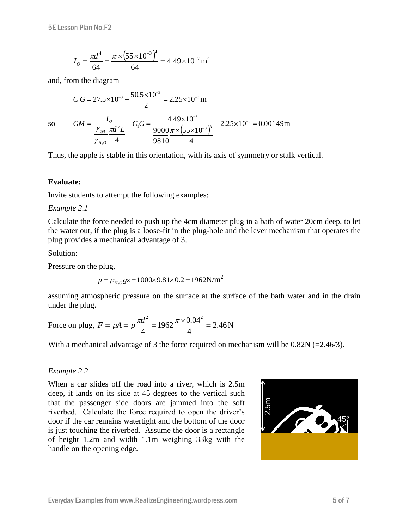$$
I_O = \frac{\pi d^4}{64} = \frac{\pi \times (55 \times 10^{-3})^4}{64} = 4.49 \times 10^{-7} \,\text{m}^4
$$

and, from the diagram

$$
\overline{C_1G} = 27.5 \times 10^{-3} - \frac{50.5 \times 10^{-3}}{2} = 2.25 \times 10^{-3} \text{ m}
$$

$$
\overline{GM} = \frac{I_0}{\sqrt{10^{-3} \cdot 10^{-3}}} - \overline{C_1G} = \frac{4.49 \times 10^{-7}}{4.49 \times 10^{-7}}
$$

so

$$
\overline{GM} = \frac{I_o}{\frac{\gamma_{cyl}}{\gamma_{H_2 o}} \frac{\pi d^2 L}{4}} - \overline{C_1 G} = \frac{4.49 \times 10^{-7}}{9000 \pi \times (55 \times 10^{-3})^3} - 2.25 \times 10^{-3} = 0.00149 \text{m}
$$

Thus, the apple is stable in this orientation, with its axis of symmetry or stalk vertical.

#### **Evaluate:**

Invite students to attempt the following examples:

#### *Example 2.1*

Calculate the force needed to push up the 4cm diameter plug in a bath of water 20cm deep, to let the water out, if the plug is a loose-fit in the plug-hole and the lever mechanism that operates the plug provides a mechanical advantage of 3.

#### Solution:

Pressure on the plug,

$$
p = \rho_{H_2O} gz = 1000 \times 9.81 \times 0.2 = 1962 \text{N/m}^2
$$

assuming atmospheric pressure on the surface at the surface of the bath water and in the drain under the plug.

Force on plug, 
$$
F = pA = p \frac{\pi d^2}{4} = 1962 \frac{\pi \times 0.04^2}{4} = 2.46 \text{ N}
$$

With a mechanical advantage of 3 the force required on mechanism will be  $0.82N$  (=2.46/3).

#### *Example 2.2*

When a car slides off the road into a river, which is 2.5m deep, it lands on its side at 45 degrees to the vertical such that the passenger side doors are jammed into the soft riverbed. Calculate the force required to open the driver's door if the car remains watertight and the bottom of the door is just touching the riverbed. Assume the door is a rectangle of height 1.2m and width 1.1m weighing 33kg with the handle on the opening edge.

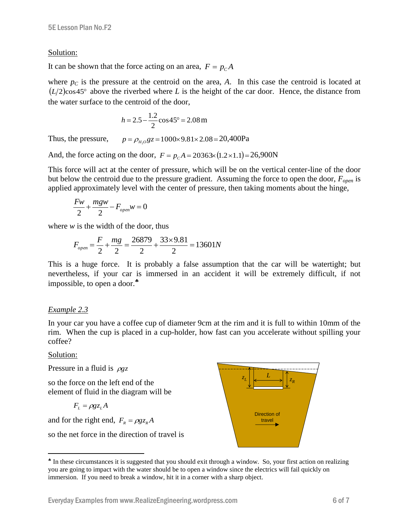#### Solution:

It can be shown that the force acting on an area,  $F = p_c A$ 

where  $p<sub>C</sub>$  is the pressure at the centroid on the area, *A*. In this case the centroid is located at  $(L/2)$ cos45° above the riverbed where *L* is the height of the car door. Hence, the distance from the water surface to the centroid of the door,

$$
h = 2.5 - \frac{1.2}{2} \cos 45^\circ = 2.08 \,\mathrm{m}
$$

Thus, the pressure,  $p = \rho_{H_2O}gz = 1000 \times 9.81 \times 2.08 = 20,400Pa$ 

And, the force acting on the door,  $F = p_c A = 20363 \times (1.2 \times 1.1) = 26,900N$ 

This force will act at the center of pressure, which will be on the vertical center-line of the door but below the centroid due to the pressure gradient. Assuming the force to open the door, *Fopen* is applied approximately level with the center of pressure, then taking moments about the hinge,

$$
\frac{Fw}{2} + \frac{mgw}{2} - F_{open}w = 0
$$

where  $w$  is the width of the door, thus

$$
F_{open} = \frac{F}{2} + \frac{mg}{2} = \frac{26879}{2} + \frac{33 \times 9.81}{2} = 13601N
$$

This is a huge force. It is probably a false assumption that the car will be watertight; but nevertheless, if your car is immersed in an accident it will be extremely difficult, if not impossible, to open a door.

### *Example 2.3*

In your car you have a coffee cup of diameter 9cm at the rim and it is full to within 10mm of the rim. When the cup is placed in a cup-holder, how fast can you accelerate without spilling your coffee?

#### Solution:

 $\overline{a}$ 

Pressure in a fluid is  $\rho gz$ 

so the force on the left end of the element of fluid in the diagram will be

$$
F_{L} = \rho g z_{L} A
$$

and for the right end,  $F_R = \rho g z_R A$ 

so the net force in the direction of travel is

 $z_{I}$   $\Big|$   $\Big|$   $\Big|$   $\Big|$   $\Big|$   $\Big|$   $\Big|$   $\Big|$  $L \downharpoonright \left| \leftarrow \xrightarrow{L} \downarrow \right| \left| z_R \right|$ Direction of travel

<sup>&</sup>lt;sup>\*</sup> In these circumstances it is suggested that you should exit through a window. So, your first action on realizing you are going to impact with the water should be to open a window since the electrics will fail quickly on immersion. If you need to break a window, hit it in a corner with a sharp object.